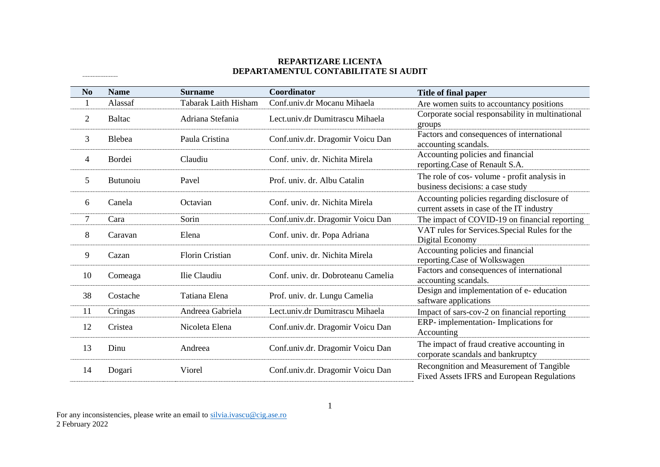## **REPARTIZARE LICENTA DEPARTAMENTUL CONTABILITATE SI AUDIT**

| N <sub>0</sub> | <b>Name</b>   | <b>Surname</b>              | Coordinator                        | Title of final paper                                                                     |
|----------------|---------------|-----------------------------|------------------------------------|------------------------------------------------------------------------------------------|
|                | Alassaf       | <b>Tabarak Laith Hisham</b> | Conf.univ.dr Mocanu Mihaela        | Are women suits to accountancy positions                                                 |
| $\overline{2}$ | <b>Baltac</b> | Adriana Stefania            | Lect.univ.dr Dumitrascu Mihaela    | Corporate social responsability in multinational<br>groups                               |
| 3              | Blebea        | Paula Cristina              | Conf.univ.dr. Dragomir Voicu Dan   | Factors and consequences of international<br>accounting scandals.                        |
| 4              | <b>Bordei</b> | Claudiu                     | Conf. univ. dr. Nichita Mirela     | Accounting policies and financial<br>reporting.Case of Renault S.A.                      |
| 5              | Butunoiu      | Pavel                       | Prof. univ. dr. Albu Catalin       | The role of cos-volume - profit analysis in<br>business decisions: a case study          |
| 6              | Canela        | Octavian                    | Conf. univ. dr. Nichita Mirela     | Accounting policies regarding disclosure of<br>current assets in case of the IT industry |
| 7              | Cara          | Sorin                       | Conf.univ.dr. Dragomir Voicu Dan   | The impact of COVID-19 on financial reporting                                            |
| 8              | Caravan       | Elena                       | Conf. univ. dr. Popa Adriana       | VAT rules for Services. Special Rules for the<br>Digital Economy                         |
| 9              | Cazan         | <b>Florin Cristian</b>      | Conf. univ. dr. Nichita Mirela     | Accounting policies and financial<br>reporting.Case of Wolkswagen                        |
| 10             | Comeaga       | Ilie Claudiu                | Conf. univ. dr. Dobroteanu Camelia | Factors and consequences of international<br>accounting scandals.                        |
| 38             | Costache      | Tatiana Elena               | Prof. univ. dr. Lungu Camelia      | Design and implementation of e- education<br>saftware applications                       |
| 11             | Cringas       | Andreea Gabriela            | Lect.univ.dr Dumitrascu Mihaela    | Impact of sars-cov-2 on financial reporting                                              |
| 12             | Cristea       | Nicoleta Elena              | Conf.univ.dr. Dragomir Voicu Dan   | ERP- implementation- Implications for<br>Accounting                                      |
| 13             | Dinu          | Andreea                     | Conf.univ.dr. Dragomir Voicu Dan   | The impact of fraud creative accounting in<br>corporate scandals and bankruptcy          |
| 14             | Dogari        | Viorel                      | Conf.univ.dr. Dragomir Voicu Dan   | Recongnition and Measurement of Tangible<br>Fixed Assets IFRS and European Regulations   |

For any inconsistencies, please write an email to [silvia.ivascu@cig.ase.ro](mailto:silvia.ivascu@cig.ase.ro) 2 February 2022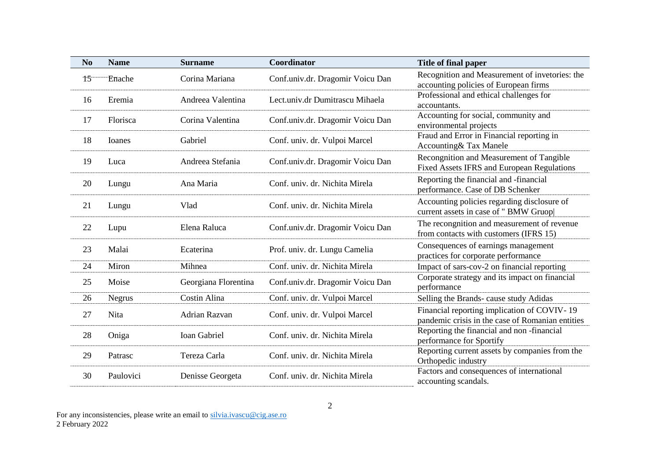| N <sub>0</sub> | <b>Name</b> | <b>Surname</b>       | Coordinator                      | Title of final paper                                                                            |
|----------------|-------------|----------------------|----------------------------------|-------------------------------------------------------------------------------------------------|
| 15             | Enache      | Corina Mariana       | Conf.univ.dr. Dragomir Voicu Dan | Recognition and Measurement of invetories: the<br>accounting policies of European firms         |
| 16             | Eremia      | Andreea Valentina    | Lect.univ.dr Dumitrascu Mihaela  | Professional and ethical challenges for<br>accountants.                                         |
| 17             | Florisca    | Corina Valentina     | Conf.univ.dr. Dragomir Voicu Dan | Accounting for social, community and<br>environmental projects                                  |
| 18             | Ioanes      | Gabriel              | Conf. univ. dr. Vulpoi Marcel    | Fraud and Error in Financial reporting in<br>Accounting & Tax Manele                            |
| 19             | Luca        | Andreea Stefania     | Conf.univ.dr. Dragomir Voicu Dan | Recongnition and Measurement of Tangible<br>Fixed Assets IFRS and European Regulations          |
| 20             | Lungu       | Ana Maria            | Conf. univ. dr. Nichita Mirela   | Reporting the financial and -financial<br>performance. Case of DB Schenker                      |
| 21             | Lungu       | Vlad                 | Conf. univ. dr. Nichita Mirela   | Accounting policies regarding disclosure of<br>current assets in case of "BMW Gruop             |
| 22             | Lupu        | Elena Raluca         | Conf.univ.dr. Dragomir Voicu Dan | The recongnition and measurement of revenue<br>from contacts with customers (IFRS 15)           |
| 23             | Malai       | Ecaterina            | Prof. univ. dr. Lungu Camelia    | Consequences of earnings management<br>practices for corporate performance                      |
| 24             | Miron       | Mihnea               | Conf. univ. dr. Nichita Mirela   | Impact of sars-cov-2 on financial reporting                                                     |
| 25             | Moise       | Georgiana Florentina | Conf.univ.dr. Dragomir Voicu Dan | Corporate strategy and its impact on financial<br>performance                                   |
| 26             | Negrus      | Costin Alina         | Conf. univ. dr. Vulpoi Marcel    | Selling the Brands- cause study Adidas                                                          |
| 27             | <b>Nita</b> | <b>Adrian Razvan</b> | Conf. univ. dr. Vulpoi Marcel    | Financial reporting implication of COVIV-19<br>pandemic crisis in the case of Romanian entities |
| 28             | Oniga       | <b>Ioan Gabriel</b>  | Conf. univ. dr. Nichita Mirela   | Reporting the financial and non-financial<br>performance for Sportify                           |
| 29             | Patrasc     | Tereza Carla         | Conf. univ. dr. Nichita Mirela   | Reporting current assets by companies from the<br>Orthopedic industry                           |
| 30             | Paulovici   | Denisse Georgeta     | Conf. univ. dr. Nichita Mirela   | Factors and consequences of international<br>accounting scandals.                               |

For any inconsistencies, please write an email to [silvia.ivascu@cig.ase.ro](mailto:silvia.ivascu@cig.ase.ro) 2 February 2022